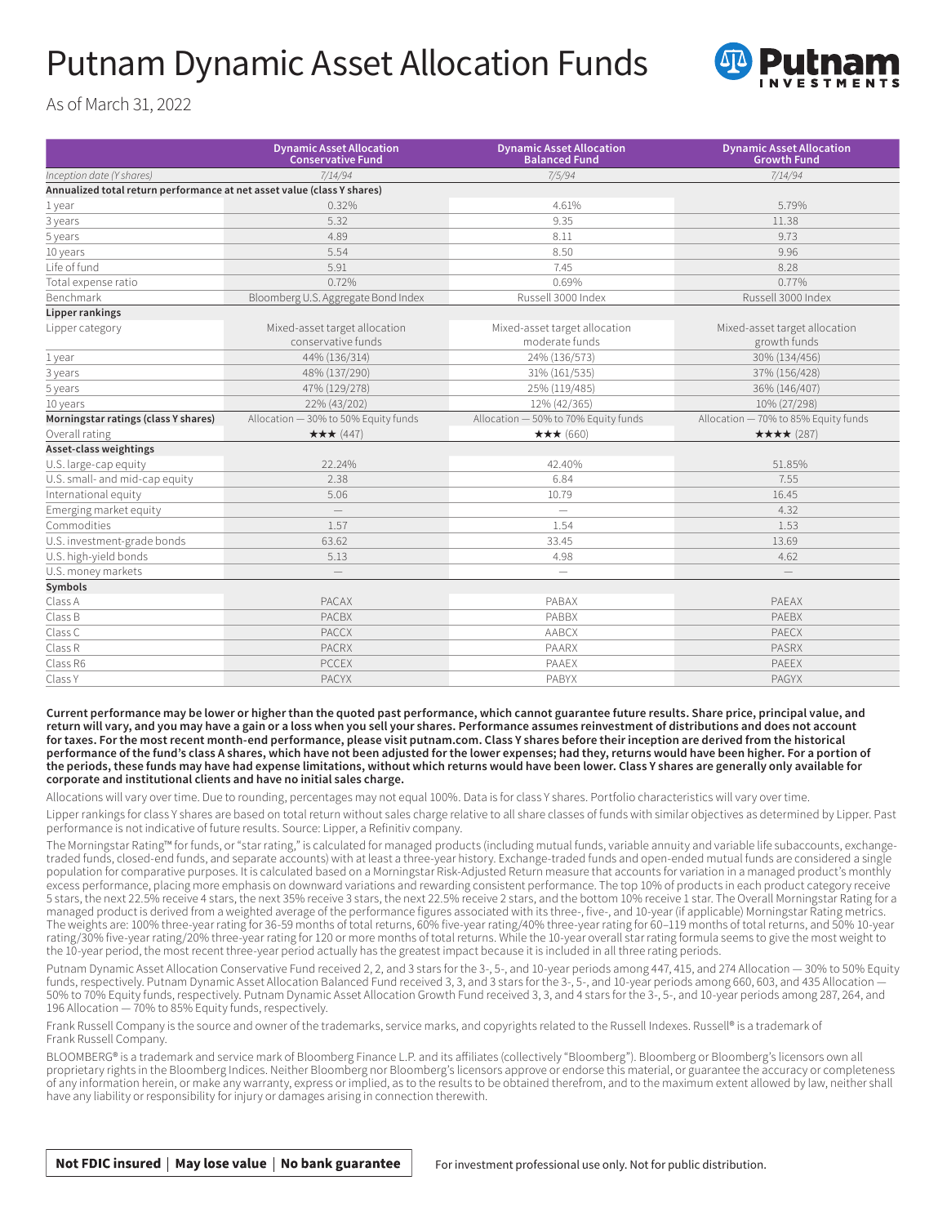## Putnam Dynamic Asset Allocation Funds



As of March 31, 2022

|                                                                         | <b>Dynamic Asset Allocation</b><br><b>Conservative Fund</b> | <b>Dynamic Asset Allocation</b><br><b>Balanced Fund</b> | <b>Dynamic Asset Allocation</b><br><b>Growth Fund</b> |
|-------------------------------------------------------------------------|-------------------------------------------------------------|---------------------------------------------------------|-------------------------------------------------------|
| Inception date (Y shares)                                               | 7/14/94                                                     | 7/5/94                                                  | 7/14/94                                               |
| Annualized total return performance at net asset value (class Y shares) |                                                             |                                                         |                                                       |
| 1 year                                                                  | 0.32%                                                       | 4.61%                                                   | 5.79%                                                 |
| 3 years                                                                 | 5.32                                                        | 9.35                                                    | 11.38                                                 |
| 5 years                                                                 | 4.89                                                        | 8.11                                                    | 9.73                                                  |
| 10 years                                                                | 5.54                                                        | 8.50                                                    | 9.96                                                  |
| Life of fund                                                            | 5.91                                                        | 7.45                                                    | 8.28                                                  |
| Total expense ratio                                                     | 0.72%                                                       | 0.69%                                                   | 0.77%                                                 |
| Benchmark                                                               | Bloomberg U.S. Aggregate Bond Index                         | Russell 3000 Index                                      | Russell 3000 Index                                    |
| Lipper rankings                                                         |                                                             |                                                         |                                                       |
| Lipper category                                                         | Mixed-asset target allocation<br>conservative funds         | Mixed-asset target allocation<br>moderate funds         | Mixed-asset target allocation<br>growth funds         |
| 1 year                                                                  | 44% (136/314)                                               | 24% (136/573)                                           | 30% (134/456)                                         |
| 3 years                                                                 | 48% (137/290)                                               | 31% (161/535)                                           | 37% (156/428)                                         |
| 5 years                                                                 | 47% (129/278)                                               | 25% (119/485)                                           | 36% (146/407)                                         |
| 10 years                                                                | 22% (43/202)                                                | 12% (42/365)                                            | 10% (27/298)                                          |
| Morningstar ratings (class Y shares)                                    | Allocation - 30% to 50% Equity funds                        | Allocation - 50% to 70% Equity funds                    | Allocation - 70% to 85% Equity funds                  |
| Overall rating                                                          | ★★★ (447)                                                   | ★★★ (660)                                               | ★★★★ (287)                                            |
| Asset-class weightings                                                  |                                                             |                                                         |                                                       |
| U.S. large-cap equity                                                   | 22.24%                                                      | 42.40%                                                  | 51.85%                                                |
| U.S. small- and mid-cap equity                                          | 2.38                                                        | 6.84                                                    | 7.55                                                  |
| International equity                                                    | 5.06                                                        | 10.79                                                   | 16.45                                                 |
| Emerging market equity                                                  |                                                             | $\equiv$                                                | 4.32                                                  |
| Commodities                                                             | 1.57                                                        | 1.54                                                    | 1.53                                                  |
| U.S. investment-grade bonds                                             | 63.62                                                       | 33.45                                                   | 13.69                                                 |
| U.S. high-yield bonds                                                   | 5.13                                                        | 4.98                                                    | 4.62                                                  |
| U.S. money markets                                                      |                                                             | $\qquad \qquad -$                                       | $\qquad \qquad$                                       |
| Symbols                                                                 |                                                             |                                                         |                                                       |
| Class A                                                                 | <b>PACAX</b>                                                | PABAX                                                   | PAEAX                                                 |
| Class B                                                                 | <b>PACBX</b>                                                | PABBX                                                   | PAEBX                                                 |
| Class C                                                                 | <b>PACCX</b>                                                | AABCX                                                   | <b>PAECX</b>                                          |
| Class R                                                                 | <b>PACRX</b>                                                | PAARX                                                   | PASRX                                                 |
| Class R6                                                                | <b>PCCEX</b>                                                | PAAEX                                                   | PAEEX                                                 |
| Class Y                                                                 | <b>PACYX</b>                                                | PABYX                                                   | PAGYX                                                 |

**Current performance may be lower or higher than the quoted past performance, which cannot guarantee future results. Share price, principal value, and return will vary, and you may have a gain or a loss when you sell your shares. Performance assumes reinvestment of distributions and does not account**  for taxes. For the most recent month-end performance, please visit [putnam.com.](https://www.putnam.com?ref=SU562.pdf) Class Y shares before their inception are derived from the historical **performance of the fund's class A shares, which have not been adjusted for the lower expenses; had they, returns would have been higher. For a portion of the periods, these funds may have had expense limitations, without which returns would have been lower. Class Y shares are generally only available for corporate and institutional clients and have no initial sales charge.**

Allocations will vary over time. Due to rounding, percentages may not equal 100%. Data is for class Y shares. Portfolio characteristics will vary over time.

Lipper rankings for class Y shares are based on total return without sales charge relative to all share classes of funds with similar objectives as determined by Lipper. Past performance is not indicative of future results. Source: Lipper, a Refinitiv company.

The Morningstar Rating™ for funds, or "star rating," is calculated for managed products (including mutual funds, variable annuity and variable life subaccounts, exchangetraded funds, closed-end funds, and separate accounts) with at least a three-year history. Exchange-traded funds and open-ended mutual funds are considered a single population for comparative purposes. It is calculated based on a Morningstar Risk-Adjusted Return measure that accounts for variation in a managed product's monthly excess performance, placing more emphasis on downward variations and rewarding consistent performance. The top 10% of products in each product category receive 5 stars, the next 22.5% receive 4 stars, the next 35% receive 3 stars, the next 22.5% receive 2 stars, and the bottom 10% receive 1 star. The Overall Morningstar Rating for a managed product is derived from a weighted average of the performance figures associated with its three-, five-, and 10-year (if applicable) Morningstar Rating metrics. The weights are: 100% three-year rating for 36-59 months of total returns, 60% five-year rating/40% three-year rating for 60–119 months of total returns, and 50% 10-year rating/30% five-year rating/20% three-year rating for 120 or more months of total returns. While the 10-year overall star rating formula seems to give the most weight to the 10-year period, the most recent three-year period actually has the greatest impact because it is included in all three rating periods.

Putnam Dynamic Asset Allocation Conservative Fund received 2, 2, and 3 stars for the 3-, 5-, and 10-year periods among 447, 415, and 274 Allocation — 30% to 50% Equity funds, respectively. Putnam Dynamic Asset Allocation Balanced Fund received 3, 3, and 3 stars for the 3-, 5-, and 10-year periods among 660, 603, and 435 Allocation -50% to 70% Equity funds, respectively. Putnam Dynamic Asset Allocation Growth Fund received 3, 3, and 4 stars for the 3-, 5-, and 10-year periods among 287, 264, and 196 Allocation — 70% to 85% Equity funds, respectively.

Frank Russell Company is the source and owner of the trademarks, service marks, and copyrights related to the Russell Indexes. Russell® is a trademark of Frank Russell Company.

BLOOMBERG® is a trademark and service mark of Bloomberg Finance L.P. and its affiliates (collectively "Bloomberg"). Bloomberg or Bloomberg's licensors own all proprietary rights in the Bloomberg Indices. Neither Bloomberg nor Bloomberg's licensors approve or endorse this material, or guarantee the accuracy or completeness of any information herein, or make any warranty, express or implied, as to the results to be obtained therefrom, and to the maximum extent allowed by law, neither shall have any liability or responsibility for injury or damages arising in connection therewith.